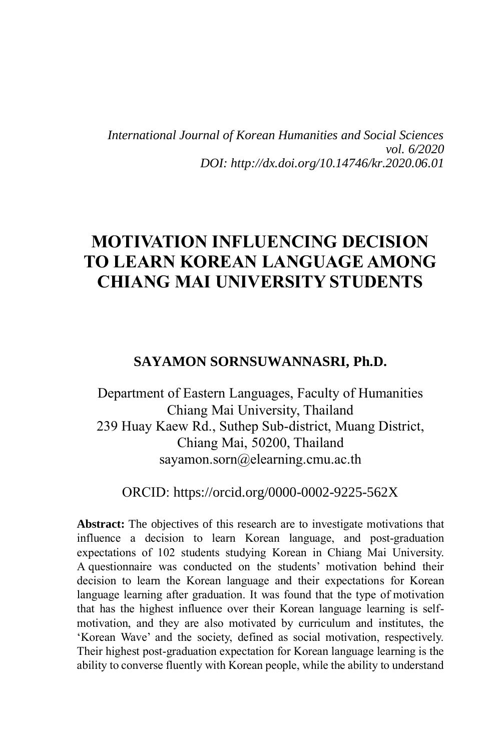*International Journal of Korean Humanities and Social Sciences vol. 6/2020 DOI: http://dx.doi.org/10.14746/kr.2020.06.01*

# **MOTIVATION INFLUENCING DECISION TO LEARN KOREAN LANGUAGE AMONG CHIANG MAI UNIVERSITY STUDENTS**

#### **SAYAMON SORNSUWANNASRI, Ph.D.**

Department of Eastern Languages, Faculty of Humanities Chiang Mai University, Thailand 239 Huay Kaew Rd., Suthep Sub-district, Muang District, Chiang Mai, 50200, Thailand sayamon.sorn@elearning.cmu.ac.th

ORCID: https://orcid.org/0000-0002-9225-562X

Abstract: The objectives of this research are to investigate motivations that influence a decision to learn Korean language, and post-graduation expectations of 102 students studying Korean in Chiang Mai University. A questionnaire was conducted on the students' motivation behind their decision to learn the Korean language and their expectations for Korean language learning after graduation. It was found that the type of motivation that has the highest influence over their Korean language learning is selfmotivation, and they are also motivated by curriculum and institutes, the 'Korean Wave' and the society, defined as social motivation, respectively. Their highest post-graduation expectation for Korean language learning is the ability to converse fluently with Korean people, while the ability to understand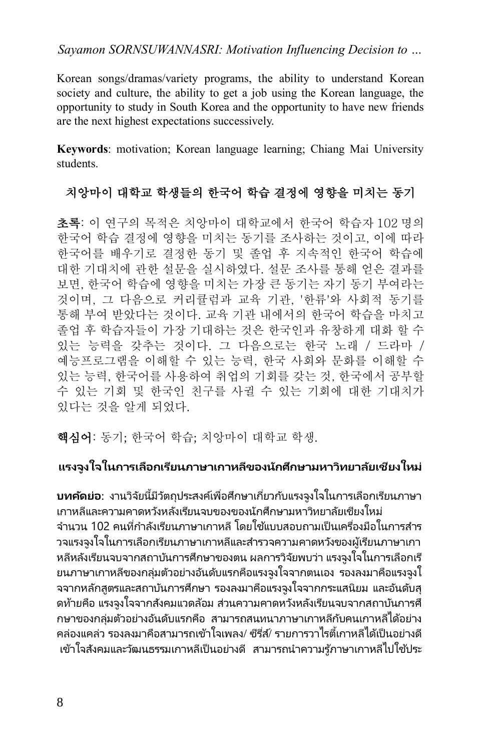*Sayamon SORNSUWANNASRI: Motivation Influencing Decision to …*

Korean songs/dramas/variety programs, the ability to understand Korean society and culture, the ability to get a job using the Korean language, the opportunity to study in South Korea and the opportunity to have new friends are the next highest expectations successively.

**Keywords**: motivation; Korean language learning; Chiang Mai University students.

### 치앙마이 대학교 학생들의 한국어 학습 결정에 영향을 미치는 동기

초록: 이 연구의 목적은 치앙마이 대학교에서 한국어 학습자 102 명의 한국어 학습 결정에 영향을 미치는 동기를 조사하는 것이고, 이에 따라 한국어를 배우기로 결정한 동기 및 졸업 후 지속적인 한국어 학습에 대한 기대치에 관한 설문을 실시하였다. 설문 조사를 통해 얻은 결과를 보면, 한국어 학습에 영향을 미치는 가장 큰 동기는 자기 동기 부여라는 것이며, 그 다음으로 커리큘럼과 교육 기관, '한류'와 사회적 동기를 통해 부여 받았다는 것이다. 교육 기관 내에서의 한국어 학습을 마치고 졸업 후 학습자들이 가장 기대하는 것은 한국인과 유창하게 대화 할 수 있는 능력을 갖추는 것이다. 그 다음으로는 한국 노래 / 드라마 / 예능프로그램을 이해할 수 있는 능력, 한국 사회와 문화를 이해할 수 있는 능력, 한국어를 사용하여 취업의 기회를 갖는 것, 한국에서 공부할 수 있는 기회 및 한국인 친구를 사귈 수 있는 기회에 대한 기대치가 있다는 것을 알게 되었다.

핵심어: 동기; 한국어 학습; 치앙마이 대학교 학생.

### **แรงจูงใจในการเลือกเรียนภาษาเกาหลีของนักศึกษามหาวิทยาลัยเชียงใหม่**

**บทคัดย่อ**: งานวิจัยนี้มีวัตถุประสงค์เพื่อศึกษาเกี่ยวกับแรงจูงใจในการเลือกเรียนภาษา เกาหลีและความคาดหวังหลังเรียนจบของของนักศึกษามหาวิทยาลัยเชียงใหม่ จำนวน 102 คนที่กำลังเรียนภาษาเกาหลี โดยใช้แบบสอบถามเป็นเครื่องมือในการสำร วจแรงจงใจในการเลือกเรียนภาษาเกาหลีและสำรวจความคาดหวังของผู้เรียนภาษาเกา หลีหลังเรียนจบจากสถาบันการศึกษาของตน ผลการวิจัยพบว่า แรงจูงใจในการเลือกเรี ียนภาษาเกาหลีของกล่มตัวอย่างอันดับแรกคือแรงจงใจจากตนเอง รองลงมาคือแรงจงใ จจากหลักสูตรและสถาบันการศึกษา รองลงมาคือแรงจูงใจจากกระแสนิยม และอันดับสุ ิดท้ายคือ แรงจุงใจจากสังคมแวดล้อม ส่วนความคาดหวังหลังเรียนจบจากสถาบันการศึ ึกษาของกล่มตัวอย่างอันดับแรกคือ สามารถสนทนาภาษาเกาหลีกับคนเกาหลีได้อย่าง คล่องแคล่ว รองลงมาคือสามารถเข้าใจเพลง/ ซีรี่ส์/ รายการวาไรตี้เกาหลีได้เป็นอย่างดี ่ เข้าใจสังคมและวัฒนธรรมเกาหลีเป็นอย่างดี สามารถนำความรู้ภาษาเกาหลีไปใช้ประ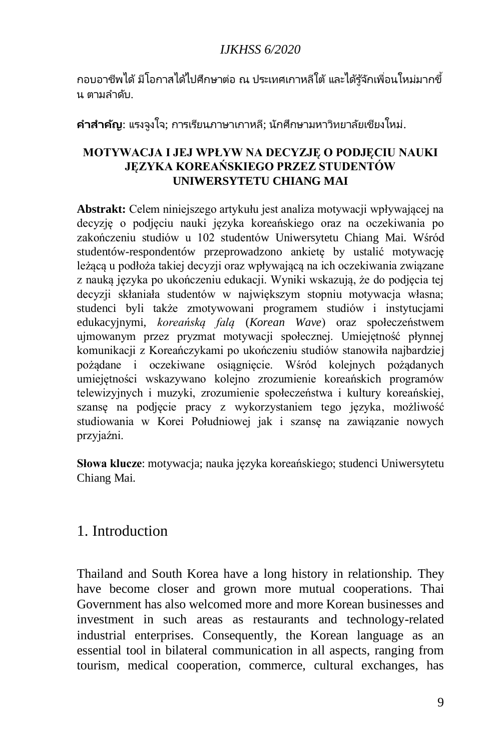กอบอาชีพได้ มีโอกาสได้ไปศึกษาต่อ ณ ประเทศเกาหลีใต้ และได้รู้จักเพื่อนใหม่มากขึ้ น ตามลำดับ.

**ค าส าค ัญ**: แรงจูงใจ; การเรียนภาษาเกาหลี; นักศึกษามหาวิทยาลัยเชียงใหม่.

#### **MOTYWACJA I JEJ WPŁYW NA DECYZJĘ O PODJĘCIU NAUKI JĘZYKA KOREAŃSKIEGO PRZEZ STUDENTÓW UNIWERSYTETU CHIANG MAI**

**Abstrakt:** Celem niniejszego artykułu jest analiza motywacji wpływającej na decyzję o podjęciu nauki języka koreańskiego oraz na oczekiwania po zakończeniu studiów u 102 studentów Uniwersytetu Chiang Mai. Wśród studentów-respondentów przeprowadzono ankietę by ustalić motywację leżącą u podłoża takiej decyzji oraz wpływającą na ich oczekiwania związane z nauką języka po ukończeniu edukacji. Wyniki wskazują, że do podjęcia tej decyzji skłaniała studentów w największym stopniu motywacja własna; studenci byli także zmotywowani programem studiów i instytucjami edukacyjnymi, *koreańską falą* (*Korean Wave*) oraz społeczeństwem ujmowanym przez pryzmat motywacji społecznej. Umiejętność płynnej komunikacji z Koreańczykami po ukończeniu studiów stanowiła najbardziej pożądane i oczekiwane osiągnięcie. Wśród kolejnych pożądanych umiejętności wskazywano kolejno zrozumienie koreańskich programów telewizyjnych i muzyki, zrozumienie społeczeństwa i kultury koreańskiej, szansę na podjęcie pracy z wykorzystaniem tego języka, możliwość studiowania w Korei Południowej jak i szansę na zawiązanie nowych przyjaźni.

**Słowa klucze**: motywacja; nauka języka koreańskiego; studenci Uniwersytetu Chiang Mai.

### 1. Introduction

Thailand and South Korea have a long history in relationship. They have become closer and grown more mutual cooperations. Thai Government has also welcomed more and more Korean businesses and investment in such areas as restaurants and technology-related industrial enterprises. Consequently, the Korean language as an essential tool in bilateral communication in all aspects, ranging from tourism, medical cooperation, commerce, cultural exchanges, has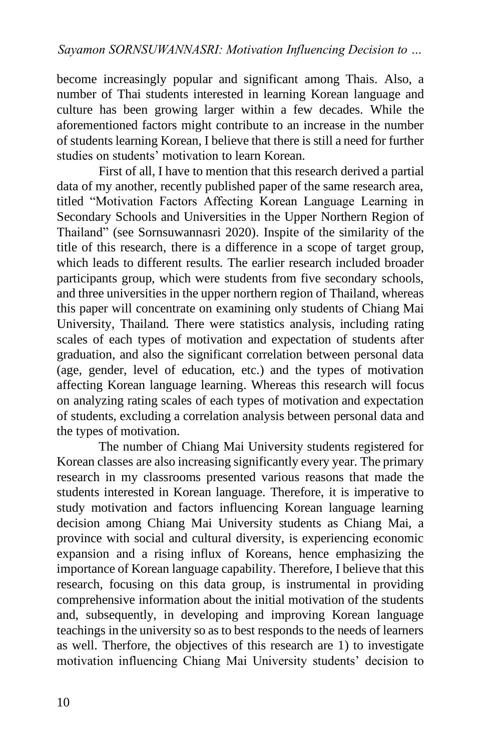become increasingly popular and significant among Thais. Also, a number of Thai students interested in learning Korean language and culture has been growing larger within a few decades. While the aforementioned factors might contribute to an increase in the number of students learning Korean, I believe that there is still a need for further studies on students' motivation to learn Korean.

First of all, I have to mention that this research derived a partial data of my another, recently published paper of the same research area, titled "Motivation Factors Affecting Korean Language Learning in Secondary Schools and Universities in the Upper Northern Region of Thailand" (see Sornsuwannasri 2020). Inspite of the similarity of the title of this research, there is a difference in a scope of target group, which leads to different results. The earlier research included broader participants group, which were students from five secondary schools, and three universities in the upper northern region of Thailand, whereas this paper will concentrate on examining only students of Chiang Mai University, Thailand. There were statistics analysis, including rating scales of each types of motivation and expectation of students after graduation, and also the significant correlation between personal data (age, gender, level of education, etc.) and the types of motivation affecting Korean language learning. Whereas this research will focus on analyzing rating scales of each types of motivation and expectation of students, excluding a correlation analysis between personal data and the types of motivation.

The number of Chiang Mai University students registered for Korean classes are also increasing significantly every year. The primary research in my classrooms presented various reasons that made the students interested in Korean language. Therefore, it is imperative to study motivation and factors influencing Korean language learning decision among Chiang Mai University students as Chiang Mai, a province with social and cultural diversity, is experiencing economic expansion and a rising influx of Koreans, hence emphasizing the importance of Korean language capability. Therefore, I believe that this research, focusing on this data group, is instrumental in providing comprehensive information about the initial motivation of the students and, subsequently, in developing and improving Korean language teachings in the university so as to best responds to the needs of learners as well. Therfore, the objectives of this research are 1) to investigate motivation influencing Chiang Mai University students' decision to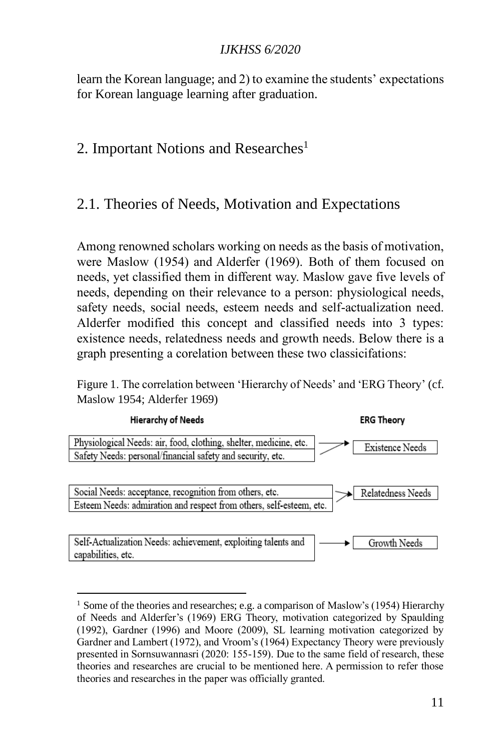learn the Korean language; and 2) to examine the students' expectations for Korean language learning after graduation.

### 2. Important Notions and Researches<sup>1</sup>

### 2.1. Theories of Needs, Motivation and Expectations

Among renowned scholars working on needs as the basis of motivation, were Maslow (1954) and Alderfer (1969). Both of them focused on needs, yet classified them in different way. Maslow gave five levels of needs, depending on their relevance to a person: physiological needs, safety needs, social needs, esteem needs and self-actualization need. Alderfer modified this concept and classified needs into 3 types: existence needs, relatedness needs and growth needs. Below there is a graph presenting a corelation between these two classicifations:

Figure 1. The correlation between 'Hierarchy of Needs' and 'ERG Theory' (cf. Maslow 1954; Alderfer 1969)



<sup>&</sup>lt;sup>1</sup> Some of the theories and researches; e.g. a comparison of Maslow's (1954) Hierarchy of Needs and Alderfer's (1969) ERG Theory, motivation categorized by Spaulding (1992), Gardner (1996) and Moore (2009), SL learning motivation categorized by Gardner and Lambert (1972), and Vroom's (1964) Expectancy Theory were previously presented in Sornsuwannasri (2020: 155-159). Due to the same field of research, these theories and researches are crucial to be mentioned here. A permission to refer those theories and researches in the paper was officially granted.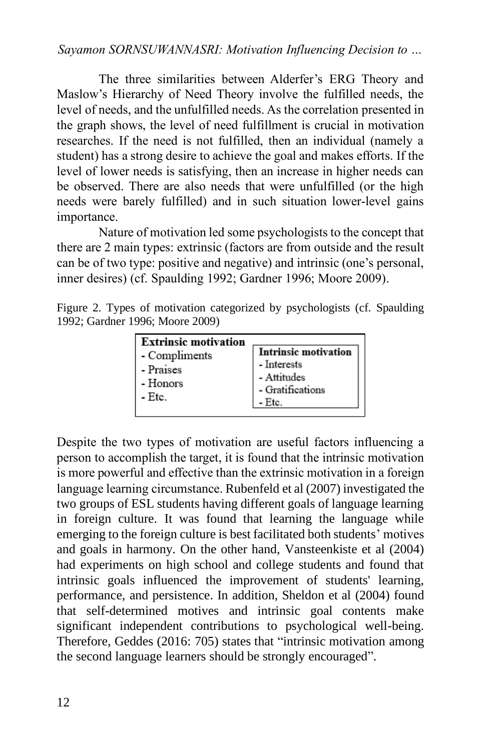### *Sayamon SORNSUWANNASRI: Motivation Influencing Decision to …*

The three similarities between Alderfer's ERG Theory and Maslow's Hierarchy of Need Theory involve the fulfilled needs, the level of needs, and the unfulfilled needs. As the correlation presented in the graph shows, the level of need fulfillment is crucial in motivation researches. If the need is not fulfilled, then an individual (namely a student) has a strong desire to achieve the goal and makes efforts. If the level of lower needs is satisfying, then an increase in higher needs can be observed. There are also needs that were unfulfilled (or the high needs were barely fulfilled) and in such situation lower-level gains importance.

Nature of motivation led some psychologists to the concept that there are 2 main types: extrinsic (factors are from outside and the result can be of two type: positive and negative) and intrinsic (one's personal, inner desires) (cf. Spaulding 1992; Gardner 1996; Moore 2009).

|  |                                 |  | Figure 2. Types of motivation categorized by psychologists (cf. Spaulding |  |
|--|---------------------------------|--|---------------------------------------------------------------------------|--|
|  | 1992; Gardner 1996; Moore 2009) |  |                                                                           |  |

Despite the two types of motivation are useful factors influencing a person to accomplish the target, it is found that the intrinsic motivation is more powerful and effective than the extrinsic motivation in a foreign language learning circumstance. Rubenfeld et al (2007) investigated the two groups of ESL students having different goals of language learning in foreign culture. It was found that learning the language while emerging to the foreign culture is best facilitated both students' motives and goals in harmony. On the other hand, Vansteenkiste et al (2004) had experiments on high school and college students and found that intrinsic goals influenced the improvement of students' learning, performance, and persistence. In addition, Sheldon et al (2004) found that self-determined motives and intrinsic goal contents make significant independent contributions to psychological well-being. Therefore, Geddes (2016: 705) states that "intrinsic motivation among the second language learners should be strongly encouraged".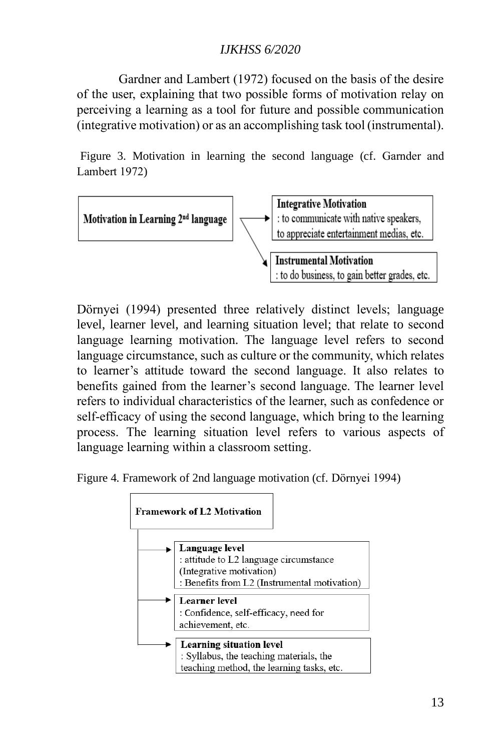Gardner and Lambert (1972) focused on the basis of the desire of the user, explaining that two possible forms of motivation relay on perceiving a learning as a tool for future and possible communication (integrative motivation) or as an accomplishing task tool (instrumental).

Figure 3. Motivation in learning the second language (cf. Garnder and Lambert 1972)



Dörnyei (1994) presented three relatively distinct levels; language level, learner level, and learning situation level; that relate to second language learning motivation. The language level refers to second language circumstance, such as culture or the community, which relates to learner's attitude toward the second language. It also relates to benefits gained from the learner's second language. The learner level refers to individual characteristics of the learner, such as confedence or self-efficacy of using the second language, which bring to the learning process. The learning situation level refers to various aspects of language learning within a classroom setting.

Figure 4. Framework of 2nd language motivation (cf. Dörnyei 1994)

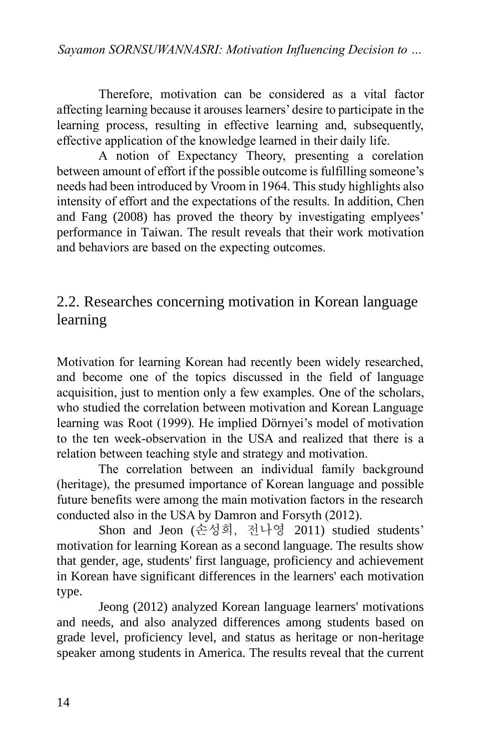Therefore, motivation can be considered as a vital factor affecting learning because it arouses learners' desire to participate in the learning process, resulting in effective learning and, subsequently, effective application of the knowledge learned in their daily life.

A notion of Expectancy Theory, presenting a corelation between amount of effort if the possible outcome is fulfilling someone's needs had been introduced by Vroom in 1964. This study highlights also intensity of effort and the expectations of the results. In addition, Chen and Fang (2008) has proved the theory by investigating emplyees' performance in Taiwan. The result reveals that their work motivation and behaviors are based on the expecting outcomes.

### 2.2. Researches concerning motivation in Korean language learning

Motivation for learning Korean had recently been widely researched, and become one of the topics discussed in the field of language acquisition, just to mention only a few examples. One of the scholars, who studied the correlation between motivation and Korean Language learning was Root (1999). He implied Dörnyei's model of motivation to the ten week-observation in the USA and realized that there is a relation between teaching style and strategy and motivation.

The correlation between an individual family background (heritage), the presumed importance of Korean language and possible future benefits were among the main motivation factors in the research conducted also in the USA by Damron and Forsyth (2012).

Shon and Jeon (손성희, 전나영 2011) studied students' motivation for learning Korean as a second language. The results show that gender, age, students' first language, proficiency and achievement in Korean have significant differences in the learners' each motivation type.

Jeong (2012) analyzed Korean language learners' motivations and needs, and also analyzed differences among students based on grade level, proficiency level, and status as heritage or non-heritage speaker among students in America. The results reveal that the current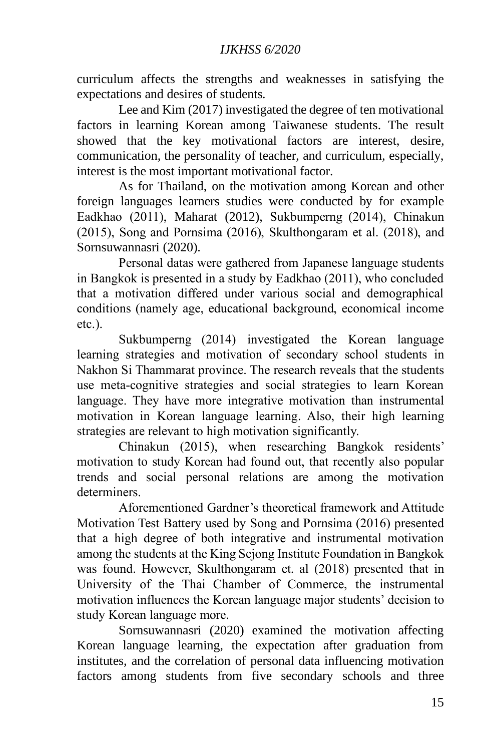curriculum affects the strengths and weaknesses in satisfying the expectations and desires of students.

Lee and Kim (2017) investigated the degree of ten motivational factors in learning Korean among Taiwanese students. The result showed that the key motivational factors are interest, desire, communication, the personality of teacher, and curriculum, especially, interest is the most important motivational factor.

As for Thailand, on the motivation among Korean and other foreign languages learners studies were conducted by for example Eadkhao (2011), Maharat (2012), Sukbumperng (2014), Chinakun (2015), Song and Pornsima (2016), Skulthongaram et al. (2018), and Sornsuwannasri (2020).

Personal datas were gathered from Japanese language students in Bangkok is presented in a study by Eadkhao (2011), who concluded that a motivation differed under various social and demographical conditions (namely age, educational background, economical income etc.).

Sukbumperng (2014) investigated the Korean language learning strategies and motivation of secondary school students in Nakhon Si Thammarat province. The research reveals that the students use meta-cognitive strategies and social strategies to learn Korean language. They have more integrative motivation than instrumental motivation in Korean language learning. Also, their high learning strategies are relevant to high motivation significantly.

Chinakun (2015), when researching Bangkok residents' motivation to study Korean had found out, that recently also popular trends and social personal relations are among the motivation determiners.

Aforementioned Gardner's theoretical framework and Attitude Motivation Test Battery used by Song and Pornsima (2016) presented that a high degree of both integrative and instrumental motivation among the students at the King Sejong Institute Foundation in Bangkok was found. However, Skulthongaram et. al (2018) presented that in University of the Thai Chamber of Commerce, the instrumental motivation influences the Korean language major students' decision to study Korean language more.

Sornsuwannasri (2020) examined the motivation affecting Korean language learning, the expectation after graduation from institutes, and the correlation of personal data influencing motivation factors among students from five secondary schools and three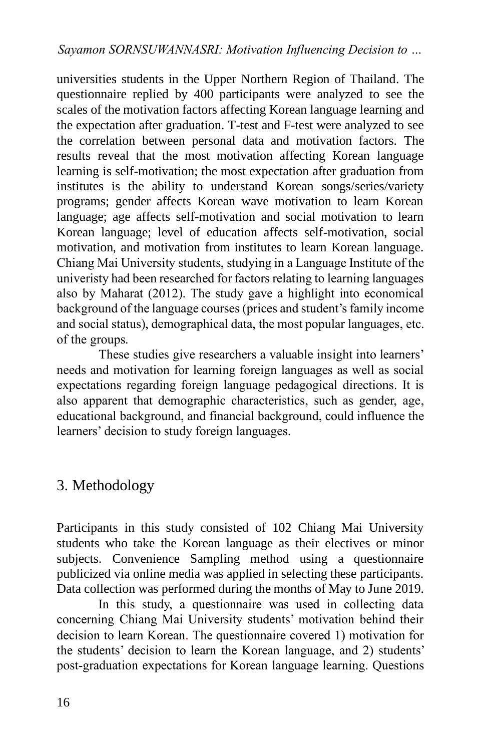universities students in the Upper Northern Region of Thailand. The questionnaire replied by 400 participants were analyzed to see the scales of the motivation factors affecting Korean language learning and the expectation after graduation. T-test and F-test were analyzed to see the correlation between personal data and motivation factors. The results reveal that the most motivation affecting Korean language learning is self-motivation; the most expectation after graduation from institutes is the ability to understand Korean songs/series/variety programs; gender affects Korean wave motivation to learn Korean language; age affects self-motivation and social motivation to learn Korean language; level of education affects self-motivation, social motivation, and motivation from institutes to learn Korean language. Chiang Mai University students, studying in a Language Institute of the univeristy had been researched for factors relating to learning languages also by Maharat (2012). The study gave a highlight into economical background of the language courses (prices and student's family income and social status), demographical data, the most popular languages, etc. of the groups.

These studies give researchers a valuable insight into learners' needs and motivation for learning foreign languages as well as social expectations regarding foreign language pedagogical directions. It is also apparent that demographic characteristics, such as gender, age, educational background, and financial background, could influence the learners' decision to study foreign languages.

## 3. Methodology

Participants in this study consisted of 102 Chiang Mai University students who take the Korean language as their electives or minor subjects. Convenience Sampling method using a questionnaire publicized via online media was applied in selecting these participants. Data collection was performed during the months of May to June 2019.

In this study, a questionnaire was used in collecting data concerning Chiang Mai University students' motivation behind their decision to learn Korean. The questionnaire covered 1) motivation for the students' decision to learn the Korean language, and 2) students' post-graduation expectations for Korean language learning. Questions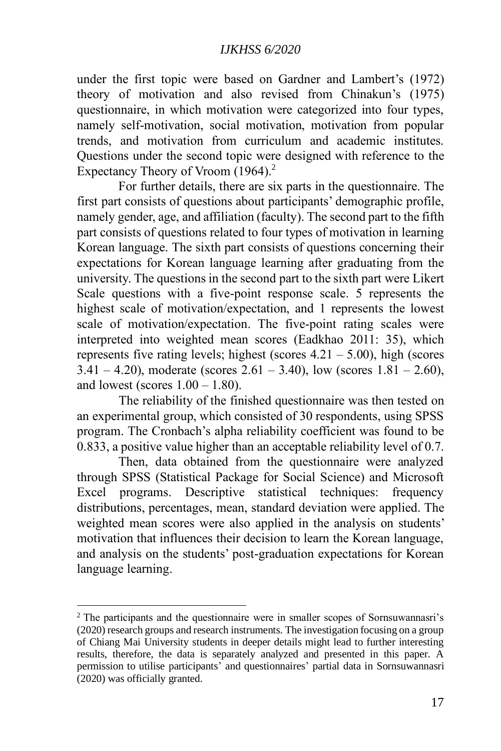under the first topic were based on Gardner and Lambert's (1972) theory of motivation and also revised from Chinakun's (1975) questionnaire, in which motivation were categorized into four types, namely self-motivation, social motivation, motivation from popular trends, and motivation from curriculum and academic institutes. Questions under the second topic were designed with reference to the Expectancy Theory of Vroom (1964). 2

For further details, there are six parts in the questionnaire. The first part consists of questions about participants' demographic profile, namely gender, age, and affiliation (faculty). The second part to the fifth part consists of questions related to four types of motivation in learning Korean language. The sixth part consists of questions concerning their expectations for Korean language learning after graduating from the university. The questions in the second part to the sixth part were Likert Scale questions with a five-point response scale.  $\overline{5}$  represents the highest scale of motivation/expectation, and 1 represents the lowest scale of motivation/expectation. The five-point rating scales were interpreted into weighted mean scores (Eadkhao 2011: 35), which represents five rating levels; highest (scores  $4.21 - 5.00$ ), high (scores  $3.41 - 4.20$ , moderate (scores 2.61 – 3.40), low (scores 1.81 – 2.60), and lowest (scores  $1.00 - 1.80$ ).

The reliability of the finished questionnaire was then tested on an experimental group, which consisted of 30 respondents, using SPSS program. The Cronbach's alpha reliability coefficient was found to be 0.833, a positive value higher than an acceptable reliability level of 0.7.

Then, data obtained from the questionnaire were analyzed through SPSS (Statistical Package for Social Science) and Microsoft Excel programs. Descriptive statistical techniques: frequency distributions, percentages, mean, standard deviation were applied. The weighted mean scores were also applied in the analysis on students' motivation that influences their decision to learn the Korean language, and analysis on the students' post-graduation expectations for Korean language learning.

<sup>2</sup> The participants and the questionnaire were in smaller scopes of Sornsuwannasri's (2020) research groups and research instruments. The investigation focusing on a group of Chiang Mai University students in deeper details might lead to further interesting results, therefore, the data is separately analyzed and presented in this paper. A permission to utilise participants' and questionnaires' partial data in Sornsuwannasri (2020) was officially granted.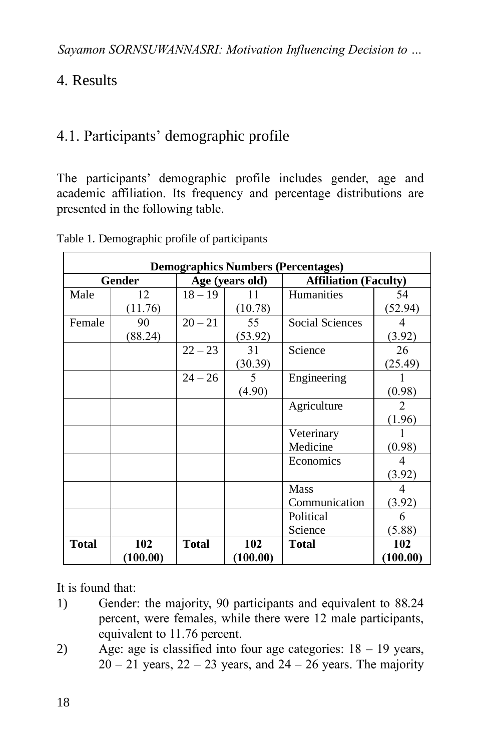# 4. Results

# 4.1. Participants' demographic profile

The participants' demographic profile includes gender, age and academic affiliation. Its frequency and percentage distributions are presented in the following table.

|              | <b>Demographics Numbers (Percentages)</b> |              |                 |                              |          |  |  |  |  |  |  |  |
|--------------|-------------------------------------------|--------------|-----------------|------------------------------|----------|--|--|--|--|--|--|--|
|              | <b>Gender</b>                             |              | Age (years old) | <b>Affiliation (Faculty)</b> |          |  |  |  |  |  |  |  |
| Male         | 12                                        | $18 - 19$    | 11              | <b>Humanities</b>            | 54       |  |  |  |  |  |  |  |
|              | (11.76)                                   |              | (10.78)         |                              | (52.94)  |  |  |  |  |  |  |  |
| Female       | 90                                        | $20 - 21$    | 55              | Social Sciences              | 4        |  |  |  |  |  |  |  |
|              | (88.24)                                   |              | (53.92)         |                              | (3.92)   |  |  |  |  |  |  |  |
|              |                                           | $22 - 23$    | 31              | Science                      | 26       |  |  |  |  |  |  |  |
|              |                                           |              | (30.39)         |                              | (25.49)  |  |  |  |  |  |  |  |
|              |                                           | $24 - 26$    | 5               | Engineering                  |          |  |  |  |  |  |  |  |
|              |                                           |              | (4.90)          |                              | (0.98)   |  |  |  |  |  |  |  |
|              |                                           |              |                 | Agriculture                  | 2        |  |  |  |  |  |  |  |
|              |                                           |              |                 |                              | (1.96)   |  |  |  |  |  |  |  |
|              |                                           |              |                 | Veterinary                   |          |  |  |  |  |  |  |  |
|              |                                           |              |                 | Medicine                     | (0.98)   |  |  |  |  |  |  |  |
|              |                                           |              |                 | Economics                    | 4        |  |  |  |  |  |  |  |
|              |                                           |              |                 |                              | (3.92)   |  |  |  |  |  |  |  |
|              |                                           |              |                 | <b>Mass</b>                  |          |  |  |  |  |  |  |  |
|              |                                           |              |                 | Communication                | (3.92)   |  |  |  |  |  |  |  |
|              |                                           |              |                 | Political                    | 6        |  |  |  |  |  |  |  |
|              |                                           |              |                 | Science                      | (5.88)   |  |  |  |  |  |  |  |
| <b>Total</b> | 102                                       | <b>Total</b> | 102             | <b>Total</b>                 | 102      |  |  |  |  |  |  |  |
|              | (100.00)                                  |              | (100.00)        |                              | (100.00) |  |  |  |  |  |  |  |

Table 1. Demographic profile of participants

It is found that:

- 1) Gender: the majority, 90 participants and equivalent to 88.24 percent, were females, while there were 12 male participants, equivalent to 11.76 percent.
- 2) Age: age is classified into four age categories:  $18 19$  years,  $20 - 21$  years,  $22 - 23$  years, and  $24 - 26$  years. The majority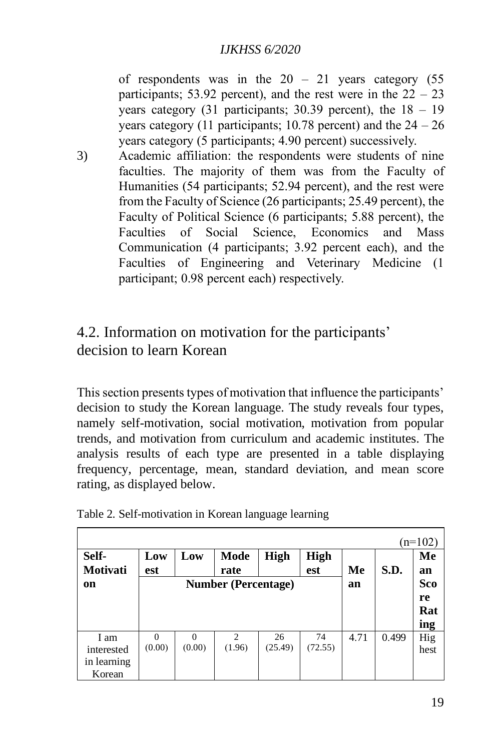of respondents was in the  $20 - 21$  years category (55) participants; 53.92 percent), and the rest were in the  $22 - 23$ years category  $(31$  participants;  $30.39$  percent), the  $18 - 19$ years category (11 participants; 10.78 percent) and the  $24 - 26$ years category (5 participants; 4.90 percent) successively.

3) Academic affiliation: the respondents were students of nine faculties. The majority of them was from the Faculty of Humanities (54 participants; 52.94 percent), and the rest were from the Faculty of Science (26 participants; 25.49 percent), the Faculty of Political Science (6 participants; 5.88 percent), the Faculties of Social Science, Economics and Mass Communication (4 participants; 3.92 percent each), and the Faculties of Engineering and Veterinary Medicine (1 participant; 0.98 percent each) respectively.

## 4.2. Information on motivation for the participants' decision to learn Korean

This section presents types of motivation that influence the participants' decision to study the Korean language. The study reveals four types, namely self-motivation, social motivation, motivation from popular trends, and motivation from curriculum and academic institutes. The analysis results of each type are presented in a table displaying frequency, percentage, mean, standard deviation, and mean score rating, as displayed below.

| Self-<br><b>Motivati</b>                    | Low<br>est         | Low                        | Mode<br>rate             | <b>High</b>   | <b>High</b><br>est | Me   | S.D.  | $(n=102)$<br>Me<br>an |
|---------------------------------------------|--------------------|----------------------------|--------------------------|---------------|--------------------|------|-------|-----------------------|
| <sub>on</sub>                               |                    | <b>Number (Percentage)</b> | an                       |               | Sco<br>re<br>Rat   |      |       |                       |
|                                             |                    |                            |                          |               |                    |      |       | ing                   |
| I am<br>interested<br>in learning<br>Korean | $\Omega$<br>(0.00) | $\Omega$<br>(0.00)         | $\mathfrak{D}$<br>(1.96) | 26<br>(25.49) | 74<br>(72.55)      | 4.71 | 0.499 | Hig<br>hest           |

|  |  | Table 2. Self-motivation in Korean language learning |  |
|--|--|------------------------------------------------------|--|
|  |  |                                                      |  |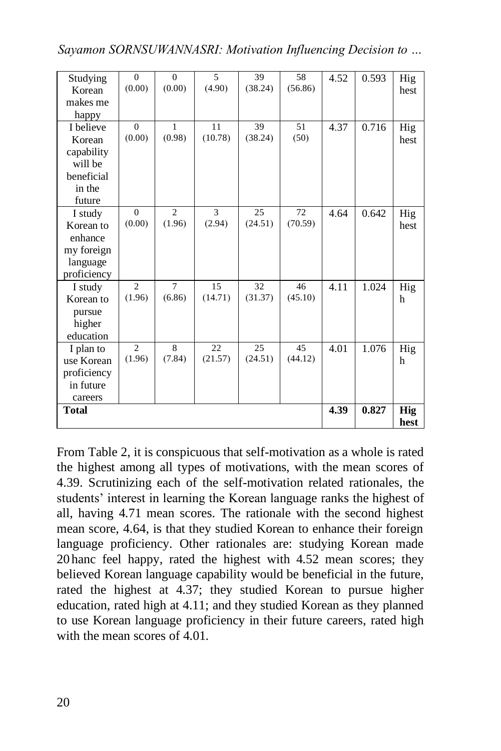| Studying     | $\overline{0}$ | $\Omega$       | 5       | 39      | 58      | 4.52 | 0.593 | Hig        |
|--------------|----------------|----------------|---------|---------|---------|------|-------|------------|
| Korean       | (0.00)         | (0.00)         | (4.90)  | (38.24) | (56.86) |      |       | hest       |
| makes me     |                |                |         |         |         |      |       |            |
| happy        |                |                |         |         |         |      |       |            |
| I believe    | $\Omega$       | $\mathbf{1}$   | 11      | 39      | 51      | 4.37 | 0.716 | Hig        |
| Korean       | (0.00)         | (0.98)         | (10.78) | (38.24) | (50)    |      |       | hest       |
| capability   |                |                |         |         |         |      |       |            |
| will be      |                |                |         |         |         |      |       |            |
| beneficial   |                |                |         |         |         |      |       |            |
| in the       |                |                |         |         |         |      |       |            |
| future       |                |                |         |         |         |      |       |            |
| I study      | $\Omega$       | $\overline{c}$ | 3       | 25      | 72      | 4.64 | 0.642 | Hig        |
| Korean to    | (0.00)         | (1.96)         | (2.94)  | (24.51) | (70.59) |      |       | hest       |
| enhance      |                |                |         |         |         |      |       |            |
| my foreign   |                |                |         |         |         |      |       |            |
| language     |                |                |         |         |         |      |       |            |
| proficiency  |                |                |         |         |         |      |       |            |
| I study      | $\overline{2}$ | $\overline{7}$ | 15      | 32      | 46      | 4.11 | 1.024 | Hig        |
| Korean to    | (1.96)         | (6.86)         | (14.71) | (31.37) | (45.10) |      |       | h          |
| pursue       |                |                |         |         |         |      |       |            |
| higher       |                |                |         |         |         |      |       |            |
| education    |                |                |         |         |         |      |       |            |
| I plan to    | $\overline{c}$ | 8              | 22      | 25      | 45      | 4.01 | 1.076 | Hig        |
| use Korean   | (1.96)         | (7.84)         | (21.57) | (24.51) | (44.12) |      |       | h          |
| proficiency  |                |                |         |         |         |      |       |            |
| in future    |                |                |         |         |         |      |       |            |
| careers      |                |                |         |         |         |      |       |            |
| <b>Total</b> |                |                |         |         |         | 4.39 | 0.827 | <b>Hig</b> |
|              |                |                |         |         |         |      |       | hest       |

*Sayamon SORNSUWANNASRI: Motivation Influencing Decision to …*

From Table 2, it is conspicuous that self-motivation as a whole is rated the highest among all types of motivations, with the mean scores of 4.39. Scrutinizing each of the self-motivation related rationales, the students' interest in learning the Korean language ranks the highest of all, having 4.71 mean scores. The rationale with the second highest mean score, 4.64, is that they studied Korean to enhance their foreign language proficiency. Other rationales are: studying Korean made 20 hanc feel happy, rated the highest with 4.52 mean scores; they believed Korean language capability would be beneficial in the future, rated the highest at 4.37; they studied Korean to pursue higher education, rated high at 4.11; and they studied Korean as they planned to use Korean language proficiency in their future careers, rated high with the mean scores of 4.01.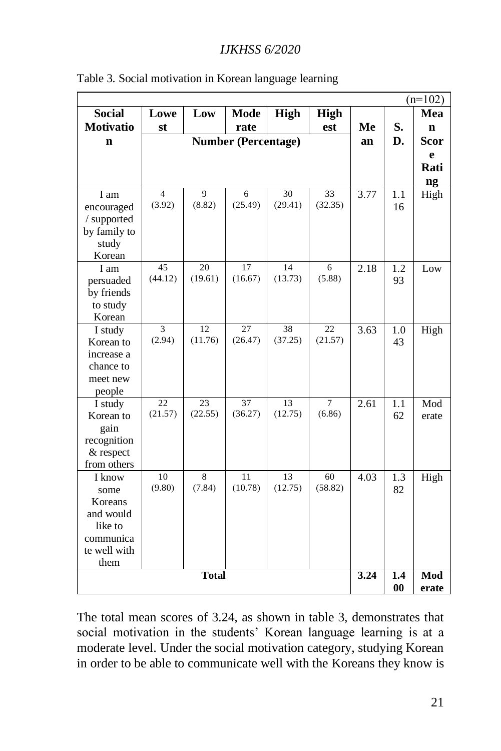|                  |         |              |                            |             | $(n=102)$      |      |           |              |
|------------------|---------|--------------|----------------------------|-------------|----------------|------|-----------|--------------|
| <b>Social</b>    | Lowe    | Low          | <b>Mode</b>                | <b>High</b> | <b>High</b>    |      |           | Mea          |
| <b>Motivatio</b> | st      |              | rate                       |             | est            | Me   | S.        | $\mathbf n$  |
| $\mathbf n$      |         |              | <b>Number (Percentage)</b> |             |                | an   | D.        | Scor         |
|                  |         |              |                            |             |                |      |           | e            |
|                  |         |              |                            |             |                |      |           | Rati         |
|                  |         |              |                            |             |                |      |           | ng           |
| I am             | 4       | 9            | 6                          | 30          | 33             | 3.77 | 1.1       | High         |
| encouraged       | (3.92)  | (8.82)       | (25.49)                    | (29.41)     | (32.35)        |      | 16        |              |
| / supported      |         |              |                            |             |                |      |           |              |
| by family to     |         |              |                            |             |                |      |           |              |
| study            |         |              |                            |             |                |      |           |              |
| Korean           |         |              |                            |             |                |      |           |              |
| I am             | 45      | 20           | 17                         | 14          | 6              | 2.18 | 1.2       | Low          |
| persuaded        | (44.12) | (19.61)      | (16.67)                    | (13.73)     | (5.88)         |      | 93        |              |
| by friends       |         |              |                            |             |                |      |           |              |
| to study         |         |              |                            |             |                |      |           |              |
| Korean           |         |              |                            |             |                |      |           |              |
| I study          | 3       | 12           | 27                         | 38          | 22             | 3.63 | 1.0       | High         |
| Korean to        | (2.94)  | (11.76)      | (26.47)                    | (37.25)     | (21.57)        |      | 43        |              |
| increase a       |         |              |                            |             |                |      |           |              |
| chance to        |         |              |                            |             |                |      |           |              |
| meet new         |         |              |                            |             |                |      |           |              |
| people           |         |              |                            |             |                |      |           |              |
| I study          | 22      | 23           | 37                         | 13          | $\overline{7}$ | 2.61 | 1.1       | Mod          |
| Korean to        | (21.57) | (22.55)      | (36.27)                    | (12.75)     | (6.86)         |      | 62        | erate        |
| gain             |         |              |                            |             |                |      |           |              |
| recognition      |         |              |                            |             |                |      |           |              |
| & respect        |         |              |                            |             |                |      |           |              |
| from others      |         |              |                            |             |                |      |           |              |
| I know           | 10      | 8            | 11                         | 13          | 60             | 4.03 | 1.3       | High         |
| some             | (9.80)  | (7.84)       | (10.78)                    | (12.75)     | (58.82)        |      | 82        |              |
| Koreans          |         |              |                            |             |                |      |           |              |
| and would        |         |              |                            |             |                |      |           |              |
| like to          |         |              |                            |             |                |      |           |              |
| communica        |         |              |                            |             |                |      |           |              |
| te well with     |         |              |                            |             |                |      |           |              |
| them             |         |              |                            |             |                |      |           |              |
|                  |         | <b>Total</b> |                            |             |                | 3.24 | 1.4<br>00 | Mod<br>erate |

|  | Table 3. Social motivation in Korean language learning |  |  |
|--|--------------------------------------------------------|--|--|
|  |                                                        |  |  |

The total mean scores of 3.24, as shown in table 3, demonstrates that social motivation in the students' Korean language learning is at a moderate level. Under the social motivation category, studying Korean in order to be able to communicate well with the Koreans they know is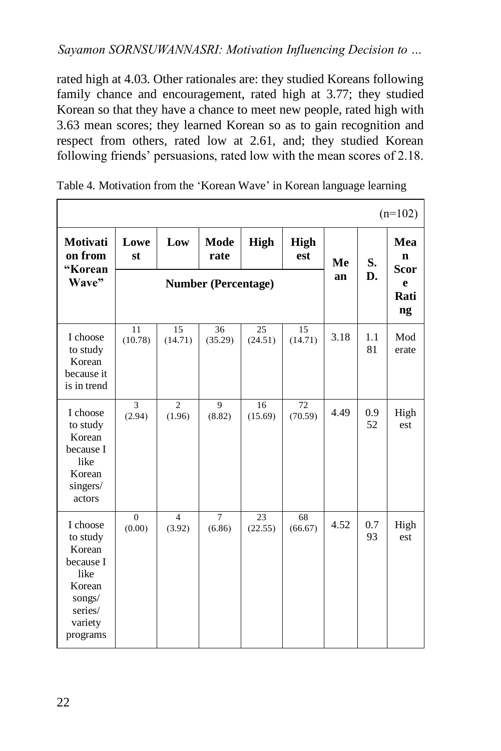rated high at 4.03. Other rationales are: they studied Koreans following family chance and encouragement, rated high at 3.77; they studied Korean so that they have a chance to meet new people, rated high with 3.63 mean scores; they learned Korean so as to gain recognition and respect from others, rated low at 2.61, and; they studied Korean following friends' persuasions, rated low with the mean scores of 2.18.

|                                                                                                           |                          |                            |                          |                            |                    |      |           | $(n=102)$                         |
|-----------------------------------------------------------------------------------------------------------|--------------------------|----------------------------|--------------------------|----------------------------|--------------------|------|-----------|-----------------------------------|
| <b>Motivati</b><br>on from<br>"Korean                                                                     | Lowe<br>st               | Low                        | <b>Mode</b><br>rate      | <b>High</b>                | <b>High</b><br>est | Me   | S.        | Mea<br>$\mathbf n$<br><b>Scor</b> |
| Wave"                                                                                                     |                          | <b>Number (Percentage)</b> | an                       | D.                         | e<br>Rati<br>ng    |      |           |                                   |
| I choose<br>to study<br>Korean<br>because it<br>is in trend                                               | 11<br>(10.78)            | 15<br>(14.71)              | 36<br>(35.29)            | 25<br>(24.51)              | 15<br>(14.71)      | 3.18 | 1.1<br>81 | Mod<br>erate                      |
| I choose<br>to study<br>Korean<br>because I<br>like<br>Korean<br>singers/<br>actors                       | $\overline{3}$<br>(2.94) | $\overline{c}$<br>(1.96)   | $\overline{9}$<br>(8.82) | 16<br>(15.69)              | 72<br>(70.59)      | 4.49 | 0.9<br>52 | High<br>est                       |
| I choose<br>to study<br>Korean<br>because I<br>like<br>Korean<br>songs/<br>series/<br>variety<br>programs | $\theta$<br>(0.00)       | $\overline{4}$<br>(3.92)   | $\overline{7}$<br>(6.86) | $\overline{23}$<br>(22.55) | 68<br>(66.67)      | 4.52 | 0.7<br>93 | High<br>est                       |

| Table 4. Motivation from the 'Korean Wave' in Korean language learning |  |  |  |
|------------------------------------------------------------------------|--|--|--|
|                                                                        |  |  |  |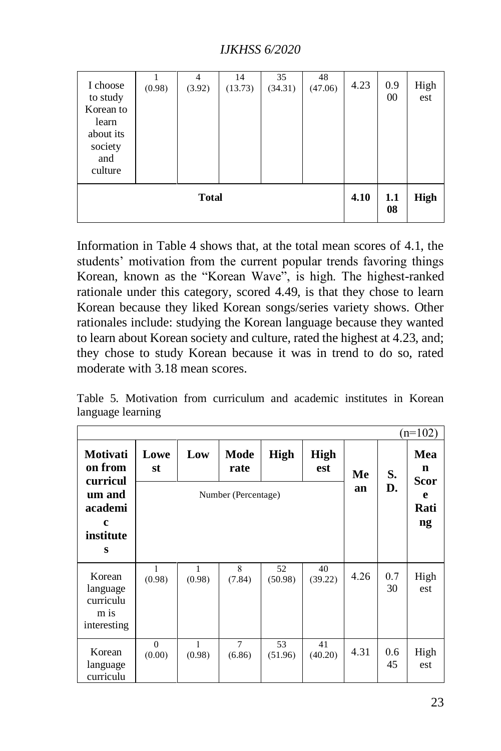| I choose<br>to study<br>Korean to<br>learn<br>about its<br>society<br>and<br>culture | (0.98) | $\overline{4}$<br>(3.92) | 14<br>(13.73) | 35<br>(34.31) | 48<br>(47.06) | 4.23 | 0.9<br>00 | High<br>est |
|--------------------------------------------------------------------------------------|--------|--------------------------|---------------|---------------|---------------|------|-----------|-------------|
|                                                                                      | 4.10   | 1.1<br>08                | <b>High</b>   |               |               |      |           |             |

Information in Table 4 shows that, at the total mean scores of 4.1, the students' motivation from the current popular trends favoring things Korean, known as the "Korean Wave", is high. The highest-ranked rationale under this category, scored 4.49, is that they chose to learn Korean because they liked Korean songs/series variety shows. Other rationales include: studying the Korean language because they wanted to learn about Korean society and culture, rated the highest at 4.23, and; they chose to study Korean because it was in trend to do so, rated moderate with 3.18 mean scores.

Table 5. Motivation from curriculum and academic institutes in Korean language learning

|                                                        |                     |             |                          |               |                    |      |           | $(n=102)$        |
|--------------------------------------------------------|---------------------|-------------|--------------------------|---------------|--------------------|------|-----------|------------------|
| Motivati<br>on from                                    | Lowe<br>st          | Low         | Mode<br>rate             | <b>High</b>   | <b>High</b><br>est | Me   | S.        | Mea<br>n<br>Scor |
| curricul<br>um and<br>academi<br>c<br>institute<br>s   | Number (Percentage) |             |                          |               |                    |      | D.        | e<br>Rati<br>ng  |
| Korean<br>language<br>curriculu<br>m is<br>interesting | 1<br>(0.98)         | 1<br>(0.98) | 8<br>(7.84)              | 52<br>(50.98) | 40<br>(39.22)      | 4.26 | 0.7<br>30 | High<br>est      |
| Korean<br>language<br>curriculu                        | $\Omega$<br>(0.00)  | 1<br>(0.98) | $\overline{7}$<br>(6.86) | 53<br>(51.96) | 41<br>(40.20)      | 4.31 | 0.6<br>45 | High<br>est      |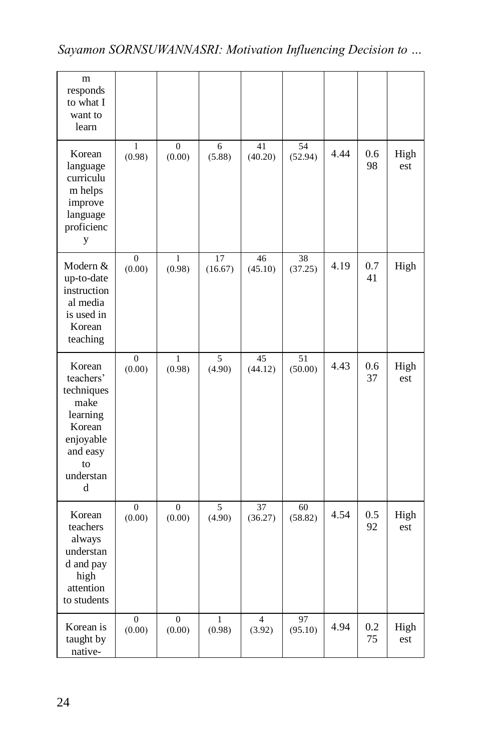| m<br>responds<br>to what I<br>want to<br>learn                                                                   |                            |                          |                        |                          |               |      |               |             |
|------------------------------------------------------------------------------------------------------------------|----------------------------|--------------------------|------------------------|--------------------------|---------------|------|---------------|-------------|
| Korean<br>language<br>curriculu<br>m helps<br>improve<br>language<br>proficienc<br>y                             | 1<br>(0.98)                | $\overline{0}$<br>(0.00) | 6<br>(5.88)            | 41<br>(40.20)            | 54<br>(52.94) | 4.44 | $0.6\,$<br>98 | High<br>est |
| Modern &<br>up-to-date<br>instruction<br>al media<br>is used in<br>Korean<br>teaching                            | $\mathbf{0}$<br>(0.00)     | 1<br>(0.98)              | 17<br>(16.67)          | 46<br>(45.10)            | 38<br>(37.25) | 4.19 | 0.7<br>41     | High        |
| Korean<br>teachers'<br>techniques<br>make<br>learning<br>Korean<br>enjoyable<br>and easy<br>to<br>understan<br>d | $\boldsymbol{0}$<br>(0.00) | 1<br>(0.98)              | 5<br>(4.90)            | 45<br>(44.12)            | 51<br>(50.00) | 4.43 | 0.6<br>37     | High<br>est |
| Korean<br>teachers<br>always<br>understan<br>d and pay<br>high<br>attention<br>to students                       | $\mathbf{0}$<br>(0.00)     | $\overline{0}$<br>(0.00) | 5<br>(4.90)            | 37<br>(36.27)            | 60<br>(58.82) | 4.54 | 0.5<br>92     | High<br>est |
| Korean is<br>taught by<br>native-                                                                                | $\boldsymbol{0}$<br>(0.00) | $\overline{0}$<br>(0.00) | $\mathbf{1}$<br>(0.98) | $\overline{4}$<br>(3.92) | 97<br>(95.10) | 4.94 | 0.2<br>75     | High<br>est |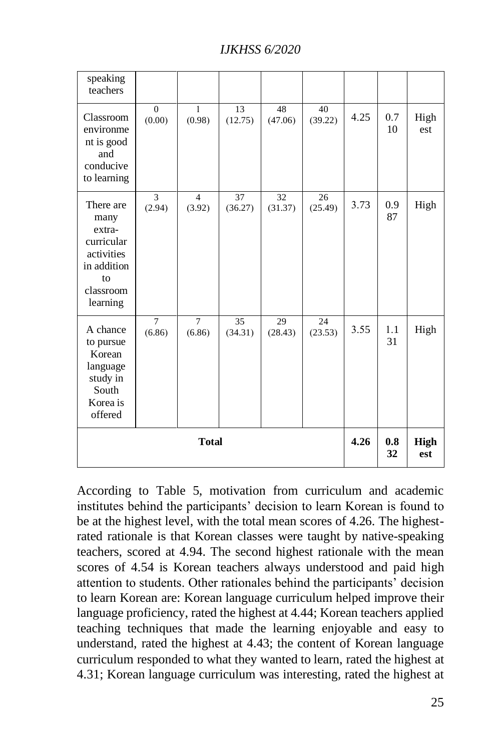| speaking<br>teachers                                                                                  |                          |                          |                    |               |               |      |           |             |
|-------------------------------------------------------------------------------------------------------|--------------------------|--------------------------|--------------------|---------------|---------------|------|-----------|-------------|
| Classroom<br>environme<br>nt is good<br>and<br>conducive<br>to learning                               | $\Omega$<br>(0.00)       | $\mathbf{1}$<br>(0.98)   | 13<br>(12.75)      | 48<br>(47.06) | 40<br>(39.22) | 4.25 | 0.7<br>10 | High<br>est |
| There are<br>many<br>extra-<br>curricular<br>activities<br>in addition<br>to<br>classroom<br>learning | 3<br>(2.94)              | $\overline{4}$<br>(3.92) | 37<br>(36.27)      | 32<br>(31.37) | 26<br>(25.49) | 3.73 | 0.9<br>87 | High        |
| A chance<br>to pursue<br>Korean<br>language<br>study in<br>South<br>Korea is<br>offered               | $\overline{7}$<br>(6.86) | $\tau$<br>(6.86)         | 35<br>(34.31)      | 29<br>(28.43) | 24<br>(23.53) | 3.55 | 1.1<br>31 | High        |
|                                                                                                       | 4.26                     | 0.8<br>32                | <b>High</b><br>est |               |               |      |           |             |

According to Table 5, motivation from curriculum and academic institutes behind the participants' decision to learn Korean is found to be at the highest level, with the total mean scores of 4.26. The highestrated rationale is that Korean classes were taught by native-speaking teachers, scored at 4.94. The second highest rationale with the mean scores of 4.54 is Korean teachers always understood and paid high attention to students. Other rationales behind the participants' decision to learn Korean are: Korean language curriculum helped improve their language proficiency, rated the highest at 4.44; Korean teachers applied teaching techniques that made the learning enjoyable and easy to understand, rated the highest at 4.43; the content of Korean language curriculum responded to what they wanted to learn, rated the highest at 4.31; Korean language curriculum was interesting, rated the highest at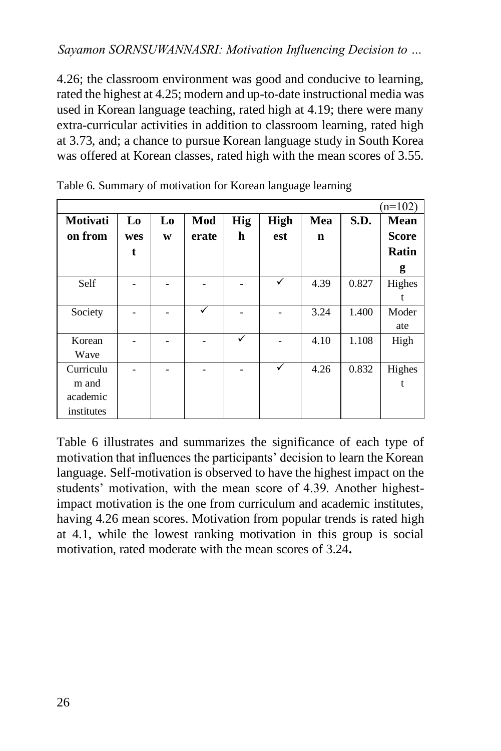4.26; the classroom environment was good and conducive to learning, rated the highest at 4.25; modern and up-to-date instructional media was used in Korean language teaching, rated high at 4.19; there were many extra-curricular activities in addition to classroom learning, rated high at 3.73, and; a chance to pursue Korean language study in South Korea was offered at Korean classes, rated high with the mean scores of 3.55.

|            |                |                          |       |            |             |      |       | $(n=102)$    |
|------------|----------------|--------------------------|-------|------------|-------------|------|-------|--------------|
| Motivati   | L <sub>0</sub> | L <sub>0</sub>           | Mod   | <b>Hig</b> | <b>High</b> | Mea  | S.D.  | <b>Mean</b>  |
| on from    | wes            | W                        | erate | h          | est         | n    |       | <b>Score</b> |
|            | t              |                          |       |            |             |      |       | Ratin        |
|            |                |                          |       |            |             |      |       | g            |
| Self       |                |                          |       |            | ✓           | 4.39 | 0.827 | Highes       |
|            |                |                          |       |            |             |      |       | t            |
| Society    |                | $\overline{\phantom{0}}$ | ✓     |            |             | 3.24 | 1.400 | Moder        |
|            |                |                          |       |            |             |      |       | ate          |
| Korean     |                |                          |       | ✓          |             | 4.10 | 1.108 | High         |
| Wave       |                |                          |       |            |             |      |       |              |
| Curriculu  |                |                          |       |            | ✓           | 4.26 | 0.832 | Highes       |
| m and      |                |                          |       |            |             |      |       | t            |
| academic   |                |                          |       |            |             |      |       |              |
| institutes |                |                          |       |            |             |      |       |              |

Table 6. Summary of motivation for Korean language learning

Table 6 illustrates and summarizes the significance of each type of motivation that influences the participants' decision to learn the Korean language. Self-motivation is observed to have the highest impact on the students' motivation, with the mean score of 4.39. Another highestimpact motivation is the one from curriculum and academic institutes, having 4.26 mean scores. Motivation from popular trends is rated high at 4.1, while the lowest ranking motivation in this group is social motivation, rated moderate with the mean scores of 3.24**.**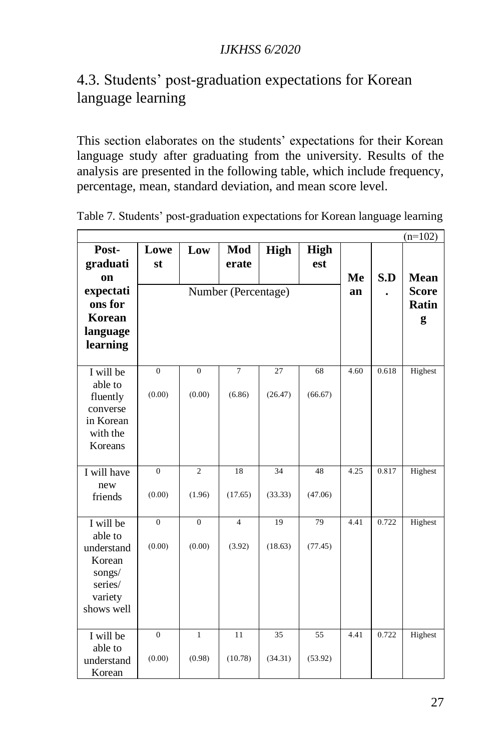## 4.3. Students' post-graduation expectations for Korean language learning

This section elaborates on the students' expectations for their Korean language study after graduating from the university. Results of the analysis are presented in the following table, which include frequency, percentage, mean, standard deviation, and mean score level.

|                       |                |                |                     |             |             |      |       | $(n=102)$    |
|-----------------------|----------------|----------------|---------------------|-------------|-------------|------|-------|--------------|
| Post-                 | Lowe           | Low            | Mod                 | <b>High</b> | <b>High</b> |      |       |              |
| graduati              | st             |                | erate               |             | est         |      |       |              |
| on                    |                |                |                     |             |             | Me   | S.D   | <b>Mean</b>  |
| expectati             |                |                | Number (Percentage) |             |             | an   |       | <b>Score</b> |
| ons for               |                |                |                     |             |             |      |       | Ratin        |
| Korean                |                |                |                     |             |             |      |       | g            |
| language              |                |                |                     |             |             |      |       |              |
| learning              |                |                |                     |             |             |      |       |              |
|                       |                |                |                     |             |             |      |       |              |
| I will be             | $\mathbf{0}$   | $\mathbf{0}$   | $\overline{7}$      | 27          | 68          | 4.60 | 0.618 | Highest      |
| able to               | (0.00)         | (0.00)         | (6.86)              | (26.47)     | (66.67)     |      |       |              |
| fluently<br>converse  |                |                |                     |             |             |      |       |              |
| in Korean             |                |                |                     |             |             |      |       |              |
| with the              |                |                |                     |             |             |      |       |              |
| Koreans               |                |                |                     |             |             |      |       |              |
|                       |                |                |                     |             |             |      |       |              |
| I will have           | $\overline{0}$ | $\overline{2}$ | 18                  | 34          | 48          | 4.25 | 0.817 | Highest      |
| new                   |                |                |                     |             |             |      |       |              |
| friends               | (0.00)         | (1.96)         | (17.65)             | (33.33)     | (47.06)     |      |       |              |
|                       |                |                |                     |             |             |      |       |              |
| I will be             | $\overline{0}$ | $\overline{0}$ | $\overline{4}$      | 19          | 79          | 4.41 | 0.722 | Highest      |
| able to<br>understand | (0.00)         | (0.00)         | (3.92)              | (18.63)     | (77.45)     |      |       |              |
| Korean                |                |                |                     |             |             |      |       |              |
| songs/                |                |                |                     |             |             |      |       |              |
| series/               |                |                |                     |             |             |      |       |              |
| variety               |                |                |                     |             |             |      |       |              |
| shows well            |                |                |                     |             |             |      |       |              |
|                       |                |                |                     |             |             |      |       |              |
| I will be             | $\mathbf{0}$   | $\mathbf{1}$   | 11                  | 35          | 55          | 4.41 | 0.722 | Highest      |
| able to               |                |                |                     |             |             |      |       |              |
| understand            | (0.00)         | (0.98)         | (10.78)             | (34.31)     | (53.92)     |      |       |              |
| Korean                |                |                |                     |             |             |      |       |              |

Table 7. Students' post-graduation expectations for Korean language learning

Ē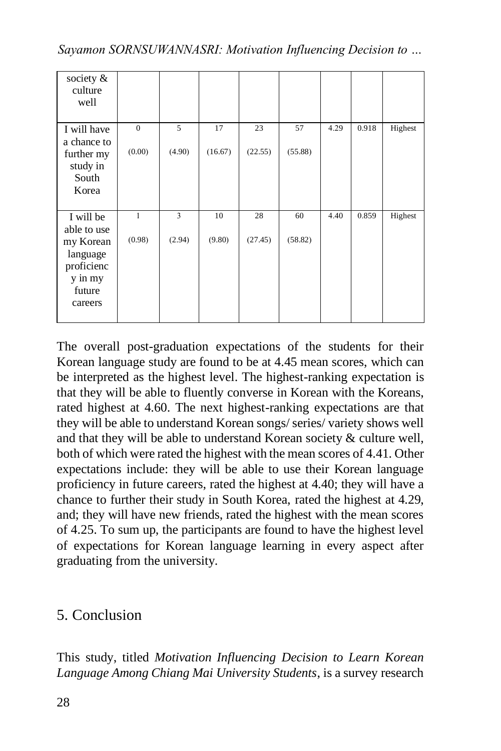| society &<br>culture<br>well |                |                |         |         |         |      |       |         |
|------------------------------|----------------|----------------|---------|---------|---------|------|-------|---------|
| I will have                  | $\overline{0}$ | $\overline{5}$ | 17      | 23      | 57      | 4.29 | 0.918 | Highest |
| a chance to<br>further my    | (0.00)         | (4.90)         | (16.67) | (22.55) | (55.88) |      |       |         |
| study in<br>South            |                |                |         |         |         |      |       |         |
| Korea                        |                |                |         |         |         |      |       |         |
|                              |                |                |         |         |         |      |       |         |
| I will be                    | 1              | 3              | 10      | 28      | 60      | 4.40 | 0.859 | Highest |
| able to use                  |                |                |         |         |         |      |       |         |
| my Korean                    | (0.98)         | (2.94)         | (9.80)  | (27.45) | (58.82) |      |       |         |
| language                     |                |                |         |         |         |      |       |         |
| proficienc                   |                |                |         |         |         |      |       |         |
| y in my<br>future            |                |                |         |         |         |      |       |         |
| careers                      |                |                |         |         |         |      |       |         |
|                              |                |                |         |         |         |      |       |         |

The overall post-graduation expectations of the students for their Korean language study are found to be at 4.45 mean scores, which can be interpreted as the highest level. The highest-ranking expectation is that they will be able to fluently converse in Korean with the Koreans, rated highest at 4.60. The next highest-ranking expectations are that they will be able to understand Korean songs/ series/ variety shows well and that they will be able to understand Korean society & culture well, both of which were rated the highest with the mean scores of 4.41. Other expectations include: they will be able to use their Korean language proficiency in future careers, rated the highest at 4.40; they will have a chance to further their study in South Korea, rated the highest at 4.29, and; they will have new friends, rated the highest with the mean scores of 4.25. To sum up, the participants are found to have the highest level of expectations for Korean language learning in every aspect after graduating from the university.

## 5. Conclusion

This study, titled *Motivation Influencing Decision to Learn Korean Language Among Chiang Mai University Students*, is a survey research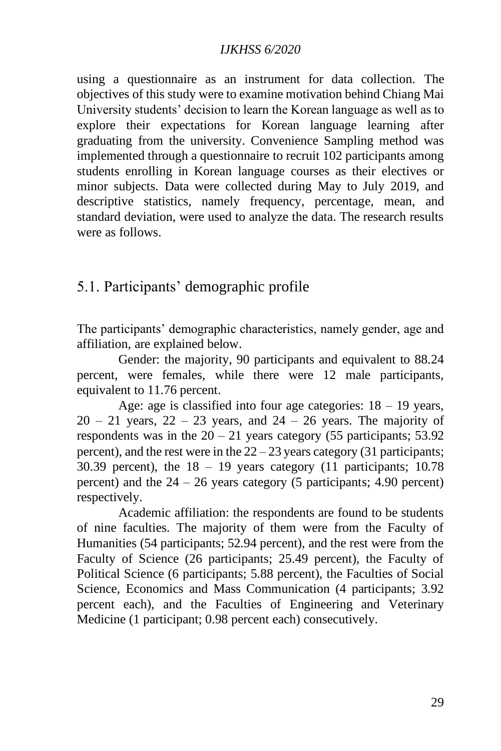using a questionnaire as an instrument for data collection. The objectives of this study were to examine motivation behind Chiang Mai University students' decision to learn the Korean language as well as to explore their expectations for Korean language learning after graduating from the university. Convenience Sampling method was implemented through a questionnaire to recruit 102 participants among students enrolling in Korean language courses as their electives or minor subjects. Data were collected during May to July 2019, and descriptive statistics, namely frequency, percentage, mean, and standard deviation, were used to analyze the data. The research results were as follows.

### 5.1. Participants' demographic profile

The participants' demographic characteristics, namely gender, age and affiliation, are explained below.

Gender: the majority, 90 participants and equivalent to 88.24 percent, were females, while there were 12 male participants, equivalent to 11.76 percent.

Age: age is classified into four age categories:  $18 - 19$  years,  $20 - 21$  years,  $22 - 23$  years, and  $24 - 26$  years. The majority of respondents was in the  $20 - 21$  years category (55 participants; 53.92) percent), and the rest were in the  $22 - 23$  years category (31 participants; 30.39 percent), the  $18 - 19$  years category (11 participants; 10.78) percent) and the  $24 - 26$  years category (5 participants; 4.90 percent) respectively.

Academic affiliation: the respondents are found to be students of nine faculties. The majority of them were from the Faculty of Humanities (54 participants; 52.94 percent), and the rest were from the Faculty of Science (26 participants; 25.49 percent), the Faculty of Political Science (6 participants; 5.88 percent), the Faculties of Social Science, Economics and Mass Communication (4 participants; 3.92 percent each), and the Faculties of Engineering and Veterinary Medicine (1 participant; 0.98 percent each) consecutively.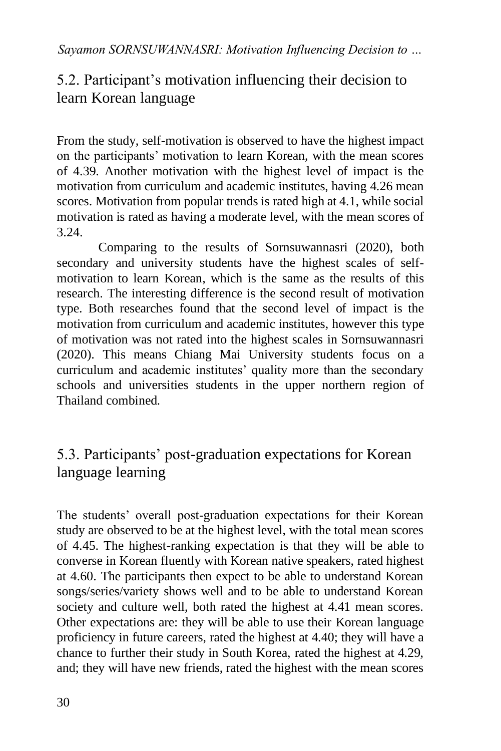# 5.2. Participant's motivation influencing their decision to learn Korean language

From the study, self-motivation is observed to have the highest impact on the participants' motivation to learn Korean, with the mean scores of 4.39. Another motivation with the highest level of impact is the motivation from curriculum and academic institutes, having 4.26 mean scores. Motivation from popular trends is rated high at 4.1, while social motivation is rated as having a moderate level, with the mean scores of 3.24.

Comparing to the results of Sornsuwannasri (2020), both secondary and university students have the highest scales of selfmotivation to learn Korean, which is the same as the results of this research. The interesting difference is the second result of motivation type. Both researches found that the second level of impact is the motivation from curriculum and academic institutes, however this type of motivation was not rated into the highest scales in Sornsuwannasri (2020). This means Chiang Mai University students focus on a curriculum and academic institutes' quality more than the secondary schools and universities students in the upper northern region of Thailand combined.

## 5.3. Participants' post-graduation expectations for Korean language learning

The students' overall post-graduation expectations for their Korean study are observed to be at the highest level, with the total mean scores of 4.45. The highest-ranking expectation is that they will be able to converse in Korean fluently with Korean native speakers, rated highest at 4.60. The participants then expect to be able to understand Korean songs/series/variety shows well and to be able to understand Korean society and culture well, both rated the highest at 4.41 mean scores. Other expectations are: they will be able to use their Korean language proficiency in future careers, rated the highest at 4.40; they will have a chance to further their study in South Korea, rated the highest at 4.29, and; they will have new friends, rated the highest with the mean scores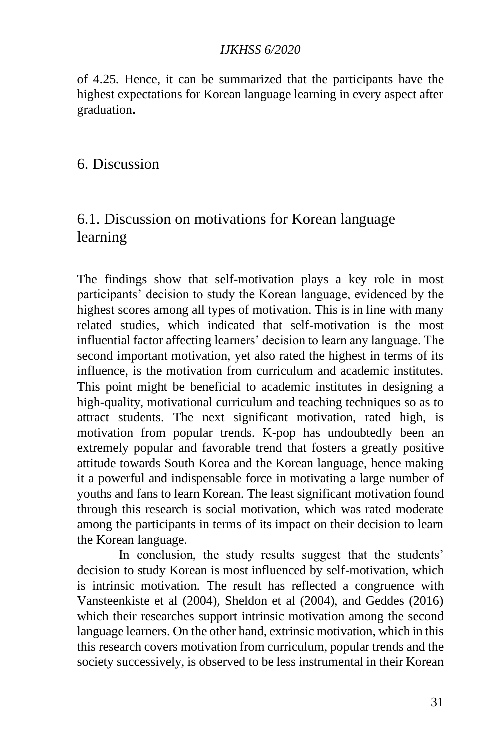of 4.25. Hence, it can be summarized that the participants have the highest expectations for Korean language learning in every aspect after graduation**.**

6. Discussion

## 6.1. Discussion on motivations for Korean language learning

The findings show that self-motivation plays a key role in most participants' decision to study the Korean language, evidenced by the highest scores among all types of motivation. This is in line with many related studies, which indicated that self-motivation is the most influential factor affecting learners' decision to learn any language. The second important motivation, yet also rated the highest in terms of its influence, is the motivation from curriculum and academic institutes. This point might be beneficial to academic institutes in designing a high-quality, motivational curriculum and teaching techniques so as to attract students. The next significant motivation, rated high, is motivation from popular trends. K-pop has undoubtedly been an extremely popular and favorable trend that fosters a greatly positive attitude towards South Korea and the Korean language, hence making it a powerful and indispensable force in motivating a large number of youths and fans to learn Korean. The least significant motivation found through this research is social motivation, which was rated moderate among the participants in terms of its impact on their decision to learn the Korean language.

In conclusion, the study results suggest that the students' decision to study Korean is most influenced by self-motivation, which is intrinsic motivation. The result has reflected a congruence with Vansteenkiste et al (2004), Sheldon et al (2004), and Geddes (2016) which their researches support intrinsic motivation among the second language learners. On the other hand, extrinsic motivation, which in this this research covers motivation from curriculum, popular trends and the society successively, is observed to be less instrumental in their Korean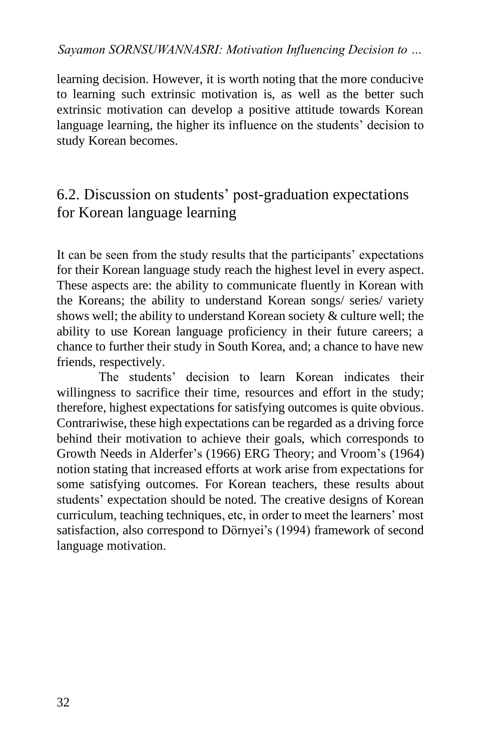learning decision. However, it is worth noting that the more conducive to learning such extrinsic motivation is, as well as the better such extrinsic motivation can develop a positive attitude towards Korean language learning, the higher its influence on the students' decision to study Korean becomes.

## 6.2. Discussion on students' post-graduation expectations for Korean language learning

It can be seen from the study results that the participants' expectations for their Korean language study reach the highest level in every aspect. These aspects are: the ability to communicate fluently in Korean with the Koreans; the ability to understand Korean songs/ series/ variety shows well; the ability to understand Korean society & culture well; the ability to use Korean language proficiency in their future careers; a chance to further their study in South Korea, and; a chance to have new friends, respectively.

The students' decision to learn Korean indicates their willingness to sacrifice their time, resources and effort in the study; therefore, highest expectations for satisfying outcomes is quite obvious. Contrariwise, these high expectations can be regarded as a driving force behind their motivation to achieve their goals, which corresponds to Growth Needs in Alderfer's (1966) ERG Theory; and Vroom's (1964) notion stating that increased efforts at work arise from expectations for some satisfying outcomes. For Korean teachers, these results about students' expectation should be noted. The creative designs of Korean curriculum, teaching techniques, etc, in order to meet the learners' most satisfaction, also correspond to Dörnyei's (1994) framework of second language motivation.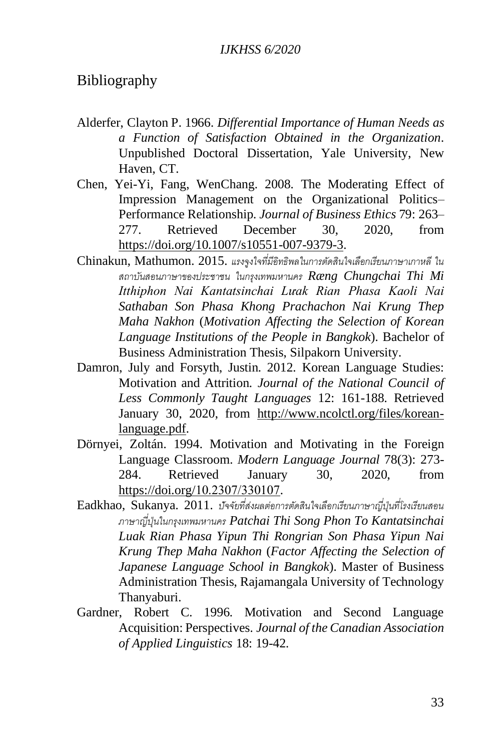#### Bibliography

- Alderfer, Clayton P. 1966. *Differential Importance of Human Needs as a Function of Satisfaction Obtained in the Organization*. Unpublished Doctoral Dissertation, Yale University, New Haven, CT.
- Chen, Yei-Yi, Fang, WenChang. 2008. The Moderating Effect of Impression Management on the Organizational Politics– Performance Relationship. *Journal of Business Ethics* 79: 263– 277. Retrieved December 30, 2020, from [https://doi.org/10.1007/s10551-007-9379-3.](https://doi.org/10.1007/s10551-007-9379-3)
- Chinakun, Mathumon. 2015. *แรงจูงใจที่มีอิทธิพลในการตัดสินใจเลือกเรียนภาษาเกาหลี ใน สถาบันสอนภาษาของประชาชน ในกรุงเทพมหานคร Ræng Chungchai Thi Mi Itthiphon Nai Kantatsinchai Lưak Rian Phasa Kaoli Nai Sathaban Son Phasa Khong Prachachon Nai Krung Thep Maha Nakhon* (*Motivation Affecting the Selection of Korean Language Institutions of the People in Bangkok*). Bachelor of Business Administration Thesis, Silpakorn University.
- Damron, July and Forsyth, Justin. 2012. Korean Language Studies: Motivation and Attrition. *Journal of the National Council of Less Commonly Taught Languages* 12: 161-188. Retrieved January 30, 2020, from [http://www.ncolctl.org/files/korean](http://www.ncolctl.org/files/korean-language.pdf)[language.pdf.](http://www.ncolctl.org/files/korean-language.pdf)
- Dörnyei, Zoltán. 1994. Motivation and Motivating in the Foreign Language Classroom. *Modern Language Journal* 78(3): 273- 284. Retrieved January 30, 2020, from [https://doi.org/10.2307/330107.](https://doi.org/10.2307/330107)
- Eadkhao, Sukanya. 2011. *ปัจจัยที่ส่งผลต่อการตัดสินใจเลือกเรียนภาษาญี่ปุ่นที่โรงเรียนสอน ภาษาญี่ปุ่นในกรุงเทพมหานคร Patchai Thi Song Phon To Kantatsinchai Luak Rian Phasa Yipun Thi Rongrian Son Phasa Yipun Nai Krung Thep Maha Nakhon* (*Factor Affecting the Selection of Japanese Language School in Bangkok*). Master of Business Administration Thesis, Rajamangala University of Technology Thanyaburi.
- Gardner, Robert C. 1996. Motivation and Second Language Acquisition: Perspectives. *Journal of the Canadian Association of Applied Linguistics* 18: 19-42.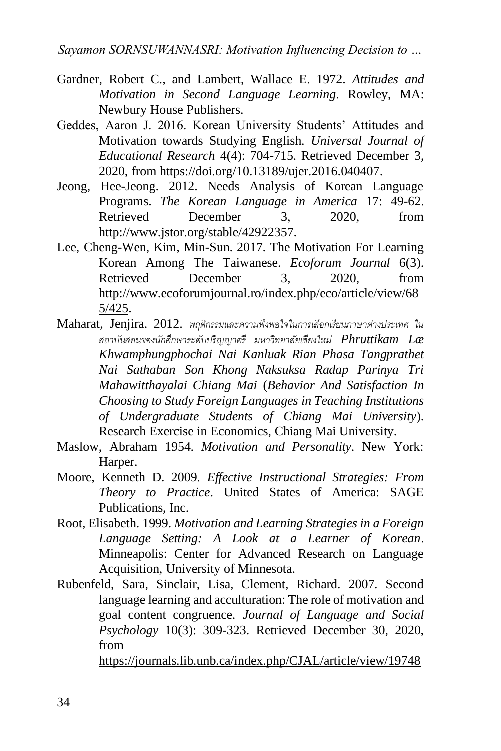- Gardner, Robert C., and Lambert, Wallace E. 1972. *Attitudes and Motivation in Second Language Learning*. Rowley, MA: Newbury House Publishers.
- Geddes, Aaron J. 2016. Korean University Students' Attitudes and Motivation towards Studying English. *Universal Journal of Educational Research* 4(4): 704-715. Retrieved December 3, 2020, from [https://doi.org/10.13189/ujer.2016.040407.](https://doi.org/10.13189/ujer.2016.040407)
- Jeong, Hee-Jeong. 2012. Needs Analysis of Korean Language Programs. *The Korean Language in America* 17: 49-62. Retrieved December 3, 2020, from [http://www.jstor.org/stable/42922357.](http://www.jstor.org/stable/42922357)
- Lee, Cheng-Wen, Kim, Min-Sun. 2017. The Motivation For Learning Korean Among The Taiwanese. *Ecoforum Journal* 6(3). Retrieved December 3, 2020 from [http://www.ecoforumjournal.ro/index.php/eco/article/view/68](http://www.ecoforumjournal.ro/index.php/eco/article/view/685/425) [5/425.](http://www.ecoforumjournal.ro/index.php/eco/article/view/685/425)
- Maharat, Jenjira. 2012. *พฤติกรรมและความพึงพอใจในการเลือกเรียนภาษาต่างประเทศ ใน สถาบันสอนของนักศึกษาระดับปริญญาตรี มหาวิทยาลัยเชียงใหม่ Phruttikam Læ Khwamphungphochai Nai Kanluak Rian Phasa Tangprathet Nai Sathaban Son Khong Naksuksa Radap Parinya Tri Mahawitthayalai Chiang Mai* (*Behavior And Satisfaction In Choosing to Study Foreign Languages in Teaching Institutions of Undergraduate Students of Chiang Mai University*). Research Exercise in Economics, Chiang Mai University.
- Maslow, Abraham 1954. *Motivation and Personality*. New York: Harper.
- Moore, Kenneth D. 2009. *Effective Instructional Strategies: From Theory to Practice*. United States of America: SAGE Publications, Inc.
- Root, Elisabeth. 1999. *Motivation and Learning Strategies in a Foreign Language Setting: A Look at a Learner of Korean*. Minneapolis: Center for Advanced Research on Language Acquisition, University of Minnesota.
- Rubenfeld, Sara, Sinclair, Lisa, Clement, Richard. 2007. Second language learning and acculturation: The role of motivation and goal content congruence. *Journal of Language and Social Psychology* 10(3): 309-323. Retrieved December 30, 2020, from

<https://journals.lib.unb.ca/index.php/CJAL/article/view/19748>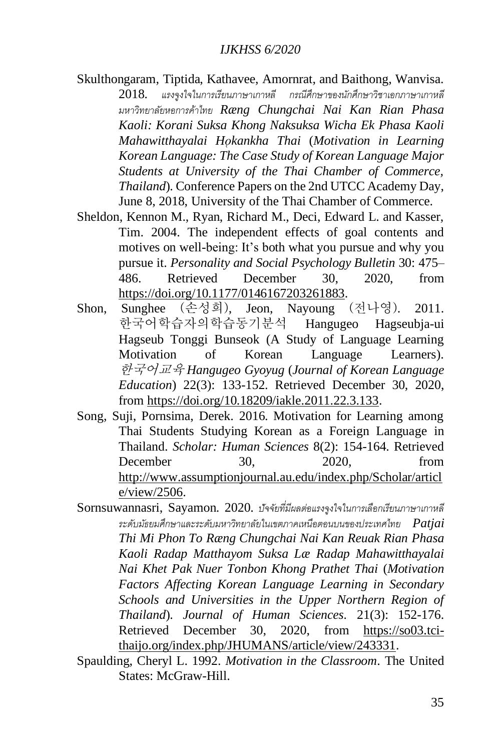- Skulthongaram, Tiptida, Kathavee, Amornrat, and Baithong, Wanvisa. 2018*. แรงจูงใจในการเรียนภาษาเกาหลี กรณีศึกษาของนักศึกษาวิชาเอกภาษาเกาหลี มหาวิทยาลัยหอการค้าไทย Ræng Chungchai Nai Kan Rian Phasa Kaoli: Korani Suksa Khong Naksuksa Wicha Ek Phasa Kaoli Mahawitthayalai Ho̜ kankha Thai* (*Motivation in Learning Korean Language: The Case Study of Korean Language Major Students at University of the Thai Chamber of Commerce, Thailand*). Conference Papers on the 2nd UTCC Academy Day, June 8, 2018, University of the Thai Chamber of Commerce.
- Sheldon, Kennon M., Ryan, Richard M., Deci, Edward L. and Kasser, Tim. 2004. The independent effects of goal contents and motives on well-being: It's both what you pursue and why you pursue it. *Personality and Social Psychology Bulletin* 30: 475– 486. Retrieved December 30, 2020, from [https://doi.org/10.1177/0146167203261883.](https://doi.org/10.1177/0146167203261883)
- Shon, Sunghee (손성희), Jeon, Nayoung (전나영). 2011. 한국어학습자의학습동기분석 Hangugeo Hagseubja-ui Hagseub Tonggi Bunseok (A Study of Language Learning Motivation of Korean Language Learners). 한국어교육 *Hangugeo Gyoyug* (*Journal of Korean Language Education*) 22(3): 133-152. Retrieved December 30, 2020, from [https://doi.org/10.18209/iakle.2011.22.3.133.](https://doi.org/10.18209/iakle.2011.22.3.133)
- Song, Suji, Pornsima, Derek. 2016. Motivation for Learning among Thai Students Studying Korean as a Foreign Language in Thailand. *Scholar: Human Sciences* 8(2): 154-164. Retrieved December 30, 2020, from [http://www.assumptionjournal.au.edu/index.php/Scholar/articl](http://www.assumptionjournal.au.edu/index.php/Scholar/article/view/2506) [e/view/2506.](http://www.assumptionjournal.au.edu/index.php/Scholar/article/view/2506)
- Sornsuwannasri, Sayamon. 2020. *ปัจจัยที่มีผลต่อแรงจูงใจในการเลือกเรียนภาษาเกาหลี ระดับมัธยมศึกษาและระดับมหาวิทยาลัยในเขตภาคเหนือตอนบนของประเทศไทย Patjai Thi Mi Phon To Ræng Chungchai Nai Kan Reuak Rian Phasa Kaoli Radap Matthayom Suksa Læ Radap Mahawitthayalai Nai Khet Pak Nuer Tonbon Khong Prathet Thai* (*Motivation Factors Affecting Korean Language Learning in Secondary Schools and Universities in the Upper Northern Region of Thailand*). *Journal of Human Sciences.* 21(3): 152-176. Retrieved December 30, 2020, from [https://so03.tci](https://so03.tci-thaijo.org/index.php/JHUMANS/article/view/243331)[thaijo.org/index.php/JHUMANS/article/view/243331.](https://so03.tci-thaijo.org/index.php/JHUMANS/article/view/243331)
- Spaulding, Cheryl L. 1992. *Motivation in the Classroom*. The United States: McGraw-Hill.